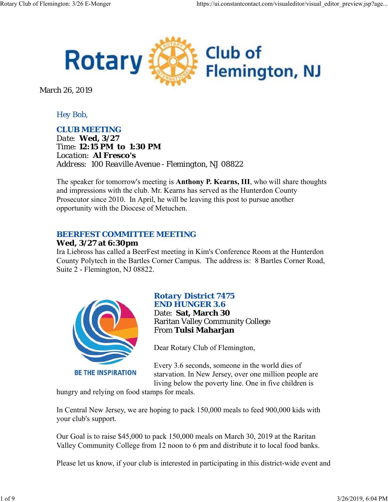

March 26, 2019

## *Hey Bob,*

### *CLUB MEETING*

*Date: Wed, 3/27 Time: 12:15 PM to 1:30 PM Location: Al Fresco's Address: 100 Reaville Avenue - Flemington, NJ 08822*

The speaker for tomorrow's meeting is **Anthony P. Kearns, III**, who will share thoughts and impressions with the club. Mr. Kearns has served as the Hunterdon County Prosecutor since 2010. In April, he will be leaving this post to pursue another opportunity with the Diocese of Metuchen.

## *BEERFEST COMMITTEE MEETING*

### **Wed, 3/27 at 6:30pm**

Ira Liebross has called a BeerFest meeting in Kim's Conference Room at the Hunterdon County Polytech in the Bartles Corner Campus. The address is: 8 Bartles Corner Road, Suite 2 - Flemington, NJ 08822.



# *Rotary District 7475 END HUNGER 3.6*

Date: **Sat, March 30** Raritan Valley Community College From **Tulsi Maharjan**

Dear Rotary Club of Flemington,

Every 3.6 seconds, someone in the world dies of starvation. In New Jersey, over one million people are living below the poverty line. One in five children is

hungry and relying on food stamps for meals.

In Central New Jersey, we are hoping to pack 150,000 meals to feed 900,000 kids with your club's support.

Our Goal is to raise \$45,000 to pack 150,000 meals on March 30, 2019 at the Raritan Valley Community College from 12 noon to 6 pm and distribute it to local food banks.

Please let us know, if your club is interested in participating in this district-wide event and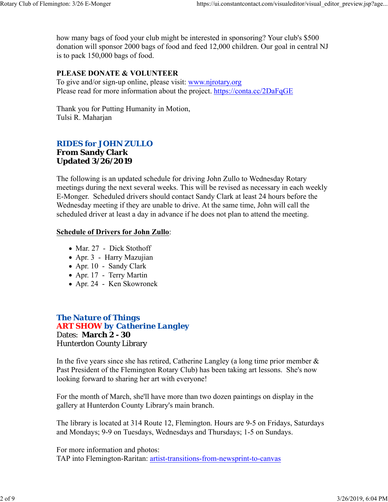how many bags of food your club might be interested in sponsoring? Your club's \$500 donation will sponsor 2000 bags of food and feed 12,000 children. Our goal in central NJ is to pack 150,000 bags of food.

## **PLEASE DONATE & VOLUNTEER**

To give and/or sign-up online, please visit: www.njrotary.org Please read for more information about the project. https://conta.cc/2DaFqGE

Thank you for Putting Humanity in Motion, Tulsi R. Maharjan

## *RIDES for JOHN ZULLO*

### **From Sandy Clark Updated 3/26/2019**

The following is an updated schedule for driving John Zullo to Wednesday Rotary meetings during the next several weeks. This will be revised as necessary in each weekly E-Monger. Scheduled drivers should contact Sandy Clark at least 24 hours before the Wednesday meeting if they are unable to drive. At the same time, John will call the scheduled driver at least a day in advance if he does not plan to attend the meeting.

### **Schedule of Drivers for John Zullo**:

- Mar. 27 Dick Stothoff
- Apr. 3 Harry Mazujian
- Apr. 10 Sandy Clark
- Apr. 17 Terry Martin
- Apr. 24 Ken Skowronek

## *The Nature of Things ART SHOW by Catherine Langley* Dates: **March 2 - 30** Hunterdon County Library

In the five years since she has retired, Catherine Langley (a long time prior member  $\&$ Past President of the Flemington Rotary Club) has been taking art lessons. She's now looking forward to sharing her art with everyone!

For the month of March, she'll have more than two dozen paintings on display in the gallery at Hunterdon County Library's main branch.

The library is located at 314 Route 12, Flemington. Hours are 9-5 on Fridays, Saturdays and Mondays; 9-9 on Tuesdays, Wednesdays and Thursdays; 1-5 on Sundays.

For more information and photos: TAP into Flemington-Raritan: artist-transitions-from-newsprint-to-canvas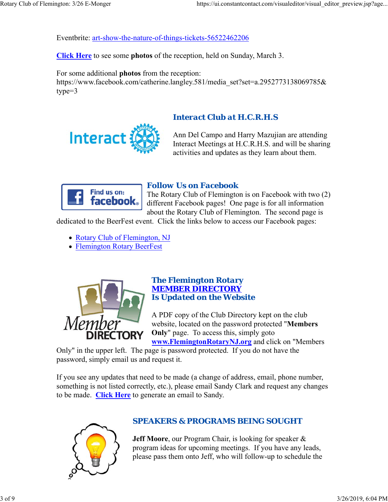Eventbrite: art-show-the-nature-of-things-tickets-56522462206

**Click Here** to see some **photos** of the reception, held on Sunday, March 3.

For some additional **photos** from the reception: https://www.facebook.com/catherine.langley.581/media\_set?set=a.2952773138069785& type=3



# *Interact Club at H.C.R.H.S*

Ann Del Campo and Harry Mazujian are attending Interact Meetings at H.C.R.H.S. and will be sharing activities and updates as they learn about them.



# *Follow Us on Facebook*

The Rotary Club of Flemington is on Facebook with two (2) different Facebook pages! One page is for all information about the Rotary Club of Flemington. The second page is

dedicated to the BeerFest event. Click the links below to access our Facebook pages:

- Rotary Club of Flemington, NJ
- Flemington Rotary BeerFest



#### *The Flemington Rotary MEMBER DIRECTORY Is Updated on the Website*

A PDF copy of the Club Directory kept on the club website, located on the password protected "**Members Only**" page. To access this, simply goto **www.FlemingtonRotaryNJ.org** and click on "Members

Only" in the upper left. The page is password protected. If you do not have the password, simply email us and request it.

If you see any updates that need to be made (a change of address, email, phone number, something is not listed correctly, etc.), please email Sandy Clark and request any changes to be made. **Click Here** to generate an email to Sandy.



# *SPEAKERS & PROGRAMS BEING SOUGHT*

**Jeff Moore**, our Program Chair, is looking for speaker & program ideas for upcoming meetings. If you have any leads, please pass them onto Jeff, who will follow-up to schedule the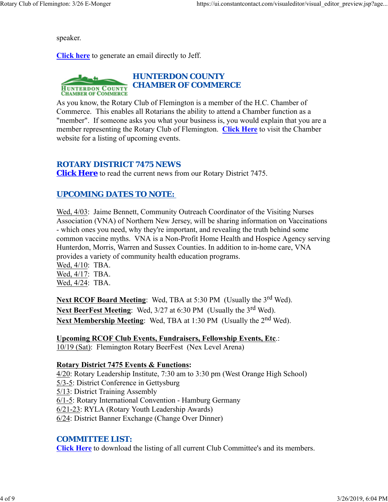speaker.

**Click here** to generate an email directly to Jeff.



As you know, the Rotary Club of Flemington is a member of the H.C. Chamber of Commerce. This enables all Rotarians the ability to attend a Chamber function as a "member". If someone asks you what your business is, you would explain that you are a member representing the Rotary Club of Flemington. **Click Here** to visit the Chamber website for a listing of upcoming events.

## *ROTARY DISTRICT 7475 NEWS*

**Click Here** to read the current news from our Rotary District 7475.

## *UPCOMING DATES TO NOTE:*

Wed, 4/03: Jaime Bennett, Community Outreach Coordinator of the Visiting Nurses Association (VNA) of Northern New Jersey, will be sharing information on Vaccinations - which ones you need, why they're important, and revealing the truth behind some common vaccine myths. VNA is a Non-Profit Home Health and Hospice Agency serving Hunterdon, Morris, Warren and Sussex Counties. In addition to in-home care, VNA provides a variety of community health education programs.

Wed, 4/10: TBA. Wed, 4/17: TBA. Wed, 4/24: TBA.

**Next RCOF Board Meeting:** Wed, TBA at 5:30 PM (Usually the 3<sup>rd</sup> Wed). Next BeerFest Meeting: Wed, 3/27 at 6:30 PM (Usually the 3<sup>rd</sup> Wed). **Next Membership Meeting:** Wed, TBA at 1:30 PM (Usually the 2<sup>nd</sup> Wed).

**Upcoming RCOF Club Events, Fundraisers, Fellowship Events, Etc**.: 10/19 (Sat): Flemington Rotary BeerFest (Nex Level Arena)

### **Rotary District 7475 Events & Functions:**

4/20: Rotary Leadership Institute, 7:30 am to 3:30 pm (West Orange High School) 5/3-5: District Conference in Gettysburg 5/13: District Training Assembly 6/1-5: Rotary International Convention - Hamburg Germany 6/21-23: RYLA (Rotary Youth Leadership Awards) 6/24: District Banner Exchange (Change Over Dinner)

## *COMMITTEE LIST:*

**Click Here** to download the listing of all current Club Committee's and its members.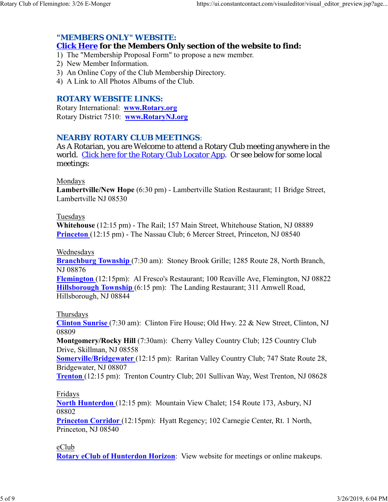## *"MEMBERS ONLY" WEBSITE:*

## **Click Here for the Members Only section of the website to find:**

1) The "Membership Proposal Form" to propose a new member.

- 2) New Member Information.
- 3) An Online Copy of the Club Membership Directory.
- 4) A Link to All Photos Albums of the Club.

## *ROTARY WEBSITE LINKS:*

Rotary International: **www.Rotary.org** Rotary District 7510: **www.RotaryNJ.org**

## *NEARBY ROTARY CLUB MEETINGS:*

As A Rotarian, you are Welcome to attend a Rotary Club meeting anywhere in the world. Click here for the Rotary Club Locator App. Or see below for some local meetings:

#### Mondays

**Lambertville/New Hope** (6:30 pm) - Lambertville Station Restaurant; 11 Bridge Street, Lambertville NJ 08530

#### Tuesdays

**Whitehouse** (12:15 pm) - The Rail; 157 Main Street, Whitehouse Station, NJ 08889 **Princeton** (12:15 pm) - The Nassau Club; 6 Mercer Street, Princeton, NJ 08540

#### Wednesdays

**Branchburg Township** (7:30 am): Stoney Brook Grille; 1285 Route 28, North Branch, NJ 08876

**Flemington** (12:15pm): Al Fresco's Restaurant; 100 Reaville Ave, Flemington, NJ 08822 **Hillsborough Township** (6:15 pm): The Landing Restaurant; 311 Amwell Road, Hillsborough, NJ 08844

### Thursdays

**Clinton Sunrise** (7:30 am): Clinton Fire House; Old Hwy. 22 & New Street, Clinton, NJ 08809

**Montgomery/Rocky Hill** (7:30am): Cherry Valley Country Club; 125 Country Club Drive, Skillman, NJ 08558

**Somerville/Bridgewater** (12:15 pm): Raritan Valley Country Club; 747 State Route 28, Bridgewater, NJ 08807

**Trenton** (12:15 pm): Trenton Country Club; 201 Sullivan Way, West Trenton, NJ 08628

### Fridays

**North Hunterdon** (12:15 pm): Mountain View Chalet; 154 Route 173, Asbury, NJ 08802

**Princeton Corridor** (12:15pm): Hyatt Regency; 102 Carnegie Center, Rt. 1 North, Princeton, NJ 08540

### eClub

**Rotary eClub of Hunterdon Horizon**: View website for meetings or online makeups.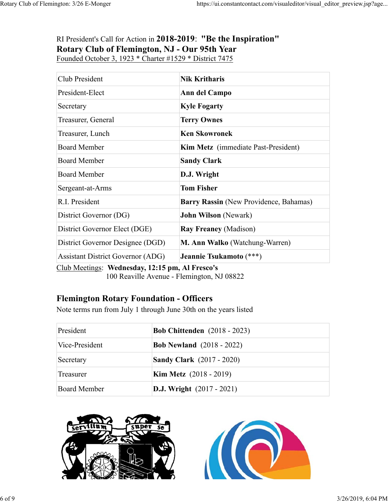# RI President's Call for Action in **2018-2019**: **"Be the Inspiration" Rotary Club of Flemington, NJ - Our 95th Year** Founded October 3, 1923 \* Charter #1529 \* District 7475

| Club President                           | <b>Nik Kritharis</b>                       |  |
|------------------------------------------|--------------------------------------------|--|
| President-Elect                          | Ann del Campo                              |  |
| Secretary                                | <b>Kyle Fogarty</b>                        |  |
| Treasurer, General                       | <b>Terry Ownes</b>                         |  |
| Treasurer, Lunch                         | <b>Ken Skowronek</b>                       |  |
| <b>Board Member</b>                      | <b>Kim Metz</b> (immediate Past-President) |  |
| <b>Board Member</b>                      | <b>Sandy Clark</b>                         |  |
| <b>Board Member</b>                      | D.J. Wright                                |  |
| Sergeant-at-Arms                         | <b>Tom Fisher</b>                          |  |
| R.I. President                           | Barry Rassin (New Providence, Bahamas)     |  |
| District Governor (DG)                   | <b>John Wilson</b> (Newark)                |  |
| District Governor Elect (DGE)            | <b>Ray Freaney (Madison)</b>               |  |
| District Governor Designee (DGD)         | M. Ann Walko (Watchung-Warren)             |  |
| <b>Assistant District Governor (ADG)</b> | Jeannie Tsukamoto (***)<br>$\blacksquare$  |  |

Club Meetings: **Wednesday, 12:15 pm, Al Fresco's** 100 Reaville Avenue - Flemington, NJ 08822

# **Flemington Rotary Foundation - Officers**

Note terms run from July 1 through June 30th on the years listed

| President      | <b>Bob Chittenden</b> (2018 - 2023) |
|----------------|-------------------------------------|
| Vice-President | <b>Bob Newland</b> (2018 - 2022)    |
| Secretary      | <b>Sandy Clark</b> (2017 - 2020)    |
| Treasurer      | <b>Kim Metz</b> $(2018 - 2019)$     |
| Board Member   | <b>D.J. Wright</b> (2017 - 2021)    |



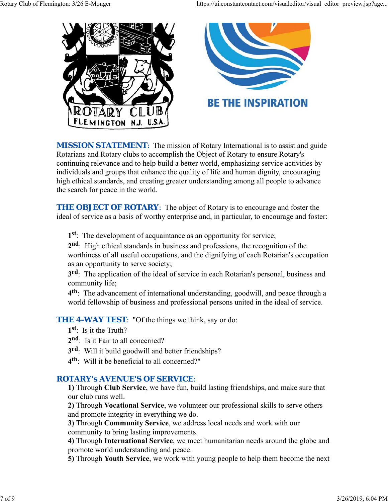

**MISSION STATEMENT:** The mission of Rotary International is to assist and guide Rotarians and Rotary clubs to accomplish the Object of Rotary to ensure Rotary's continuing relevance and to help build a better world, emphasizing service activities by individuals and groups that enhance the quality of life and human dignity, encouraging high ethical standards, and creating greater understanding among all people to advance the search for peace in the world.

**THE OBJECT OF ROTARY:** The object of Rotary is to encourage and foster the ideal of service as a basis of worthy enterprise and, in particular, to encourage and foster:

**1st**: The development of acquaintance as an opportunity for service;

**2nd**: High ethical standards in business and professions, the recognition of the worthiness of all useful occupations, and the dignifying of each Rotarian's occupation as an opportunity to serve society;

**3rd**: The application of the ideal of service in each Rotarian's personal, business and community life;

**4th**: The advancement of international understanding, goodwill, and peace through a world fellowship of business and professional persons united in the ideal of service.

**THE 4-WAY TEST:** "Of the things we think, say or do:

- **1st**: Is it the Truth?
- 2<sup>nd</sup>: Is it Fair to all concerned?
- **3rd**: Will it build goodwill and better friendships?
- **4th**: Will it be beneficial to all concerned?"

# *ROTARY's AVENUE'S OF SERVICE*:

**1)** Through **Club Service**, we have fun, build lasting friendships, and make sure that our club runs well.

**2)** Through **Vocational Service**, we volunteer our professional skills to serve others and promote integrity in everything we do.

**3)** Through **Community Service**, we address local needs and work with our community to bring lasting improvements.

**4)** Through **International Service**, we meet humanitarian needs around the globe and promote world understanding and peace.

**5)** Through **Youth Service**, we work with young people to help them become the next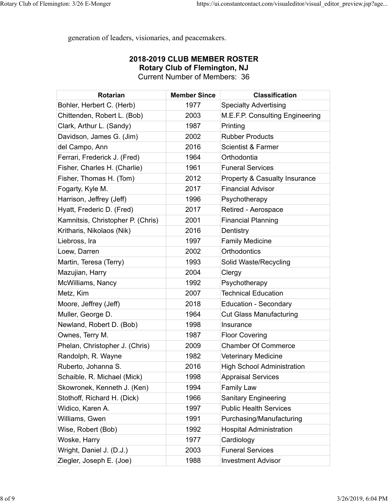generation of leaders, visionaries, and peacemakers.

## **2018-2019 CLUB MEMBER ROSTER Rotary Club of Flemington, NJ** Current Number of Members: 36

| <b>Rotarian</b>                   | <b>Member Since</b> | <b>Classification</b>             |
|-----------------------------------|---------------------|-----------------------------------|
| Bohler, Herbert C. (Herb)         | 1977                | <b>Specialty Advertising</b>      |
| Chittenden, Robert L. (Bob)       | 2003                | M.E.F.P. Consulting Engineering   |
| Clark, Arthur L. (Sandy)          | 1987                | Printing                          |
| Davidson, James G. (Jim)          | 2002                | <b>Rubber Products</b>            |
| del Campo, Ann                    | 2016                | <b>Scientist &amp; Farmer</b>     |
| Ferrari, Frederick J. (Fred)      | 1964                | Orthodontia                       |
| Fisher, Charles H. (Charlie)      | 1961                | <b>Funeral Services</b>           |
| Fisher, Thomas H. (Tom)           | 2012                | Property & Casualty Insurance     |
| Fogarty, Kyle M.                  | 2017                | <b>Financial Advisor</b>          |
| Harrison, Jeffrey (Jeff)          | 1996                | Psychotherapy                     |
| Hyatt, Frederic D. (Fred)         | 2017                | Retired - Aerospace               |
| Kamnitsis, Christopher P. (Chris) | 2001                | <b>Financial Planning</b>         |
| Kritharis, Nikolaos (Nik)         | 2016                | Dentistry                         |
| Liebross, Ira                     | 1997                | <b>Family Medicine</b>            |
| Loew, Darren                      | 2002                | Orthodontics                      |
| Martin, Teresa (Terry)            | 1993                | Solid Waste/Recycling             |
| Mazujian, Harry                   | 2004                | Clergy                            |
| McWilliams, Nancy                 | 1992                | Psychotherapy                     |
| Metz, Kim                         | 2007                | <b>Technical Education</b>        |
| Moore, Jeffrey (Jeff)             | 2018                | <b>Education - Secondary</b>      |
| Muller, George D.                 | 1964                | <b>Cut Glass Manufacturing</b>    |
| Newland, Robert D. (Bob)          | 1998                | Insurance                         |
| Ownes, Terry M.                   | 1987                | <b>Floor Covering</b>             |
| Phelan, Christopher J. (Chris)    | 2009                | <b>Chamber Of Commerce</b>        |
| Randolph, R. Wayne                | 1982                | <b>Veterinary Medicine</b>        |
| Ruberto, Johanna S.               | 2016                | <b>High School Administration</b> |
| Schaible, R. Michael (Mick)       | 1998                | <b>Appraisal Services</b>         |
| Skowronek, Kenneth J. (Ken)       | 1994                | <b>Family Law</b>                 |
| Stothoff, Richard H. (Dick)       | 1966                | <b>Sanitary Engineering</b>       |
| Widico, Karen A.                  | 1997                | <b>Public Health Services</b>     |
| Williams, Gwen                    | 1991                | Purchasing/Manufacturing          |
| Wise, Robert (Bob)                | 1992                | <b>Hospital Administration</b>    |
| Woske, Harry                      | 1977                | Cardiology                        |
| Wright, Daniel J. (D.J.)          | 2003                | <b>Funeral Services</b>           |
| Ziegler, Joseph E. (Joe)          | 1988                | <b>Investment Advisor</b>         |